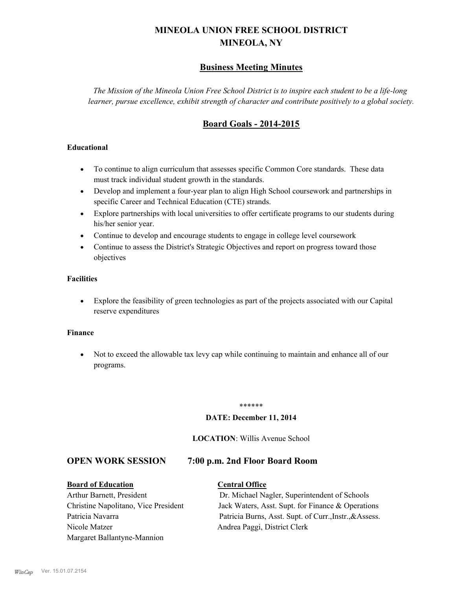# **MINEOLA UNION FREE SCHOOL DISTRICT MINEOLA, NY**

# **Business Meeting Minutes**

*The Mission of the Mineola Union Free School District is to inspire each student to be a life-long learner, pursue excellence, exhibit strength of character and contribute positively to a global society.*

# **Board Goals - 2014-2015**

# **Educational**

- · To continue to align curriculum that assesses specific Common Core standards. These data must track individual student growth in the standards.
- · Develop and implement a four-year plan to align High School coursework and partnerships in specific Career and Technical Education (CTE) strands.
- · Explore partnerships with local universities to offer certificate programs to our students during his/her senior year.
- · Continue to develop and encourage students to engage in college level coursework
- Continue to assess the District's Strategic Objectives and report on progress toward those objectives

# **Facilities**

· Explore the feasibility of green technologies as part of the projects associated with our Capital reserve expenditures

#### **Finance**

· Not to exceed the allowable tax levy cap while continuing to maintain and enhance all of our programs.

#### \*\*\*\*\*\*

#### **DATE: December 11, 2014**

#### **LOCATION**: Willis Avenue School

# **OPEN WORK SESSION 7:00 p.m. 2nd Floor Board Room**

#### **Board of Education Central Office**

Nicole Matzer Andrea Paggi, District Clerk Margaret Ballantyne-Mannion

Arthur Barnett, President Dr. Michael Nagler, Superintendent of Schools Christine Napolitano, Vice President Jack Waters, Asst. Supt. for Finance & Operations Patricia Navarra Patricia Burns, Asst. Supt. of Curr., Instr., & Assess.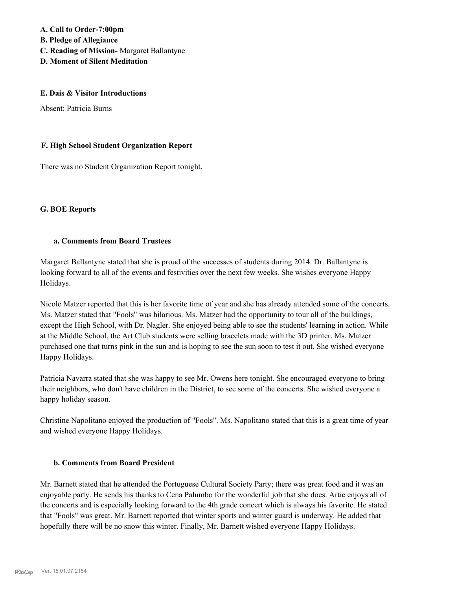**A. Call to Order-7:00pm B. Pledge of Allegiance C. Reading of Mission-** Margaret Ballantyne

**D. Moment of Silent Meditation**

#### **E. Dais & Visitor Introductions**

Absent: Patricia Burns

# **F. High School Student Organization Report**

There was no Student Organization Report tonight.

# **G. BOE Reports**

#### **a. Comments from Board Trustees**

Margaret Ballantyne stated that she is proud of the successes of students during 2014. Dr. Ballantyne is looking forward to all of the events and festivities over the next few weeks. She wishes everyone Happy Holidays.

Nicole Matzer reported that this is her favorite time of year and she has already attended some of the concerts. Ms. Matzer stated that "Fools" was hilarious. Ms. Matzer had the opportunity to tour all of the buildings, except the High School, with Dr. Nagler. She enjoyed being able to see the students' learning in action. While at the Middle School, the Art Club students were selling bracelets made with the 3D printer. Ms. Matzer purchased one that turns pink in the sun and is hoping to see the sun soon to test it out. She wished everyone Happy Holidays.

Patricia Navarra stated that she was happy to see Mr. Owens here tonight. She encouraged everyone to bring their neighbors, who don't have children in the District, to see some of the concerts. She wished everyone a happy holiday season.

Christine Napolitano enjoyed the production of "Fools". Ms. Napolitano stated that this is a great time of year and wished everyone Happy Holidays.

# **b. Comments from Board President**

Mr. Barnett stated that he attended the Portuguese Cultural Society Party; there was great food and it was an enjoyable party. He sends his thanks to Cena Palumbo for the wonderful job that she does. Artie enjoys all of the concerts and is especially looking forward to the 4th grade concert which is always his favorite. He stated that "Fools" was great. Mr. Barnett reported that winter sports and winter guard is underway. He added that hopefully there will be no snow this winter. Finally, Mr. Barnett wished everyone Happy Holidays.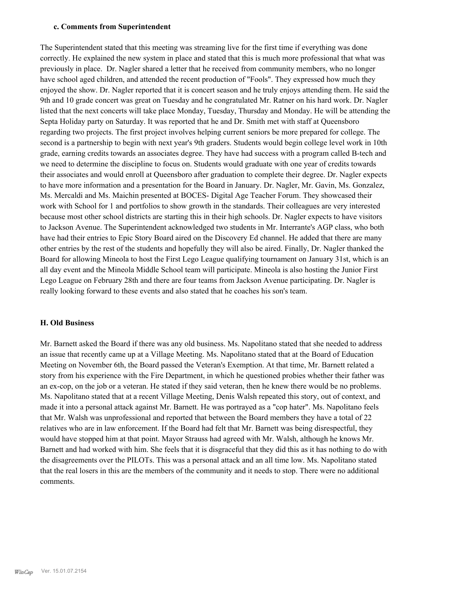#### **c. Comments from Superintendent**

The Superintendent stated that this meeting was streaming live for the first time if everything was done correctly. He explained the new system in place and stated that this is much more professional that what was previously in place. Dr. Nagler shared a letter that he received from community members, who no longer have school aged children, and attended the recent production of "Fools". They expressed how much they enjoyed the show. Dr. Nagler reported that it is concert season and he truly enjoys attending them. He said the 9th and 10 grade concert was great on Tuesday and he congratulated Mr. Ratner on his hard work. Dr. Nagler listed that the next concerts will take place Monday, Tuesday, Thursday and Monday. He will be attending the Septa Holiday party on Saturday. It was reported that he and Dr. Smith met with staff at Queensboro regarding two projects. The first project involves helping current seniors be more prepared for college. The second is a partnership to begin with next year's 9th graders. Students would begin college level work in 10th grade, earning credits towards an associates degree. They have had success with a program called B-tech and we need to determine the discipline to focus on. Students would graduate with one year of credits towards their associates and would enroll at Queensboro after graduation to complete their degree. Dr. Nagler expects to have more information and a presentation for the Board in January. Dr. Nagler, Mr. Gavin, Ms. Gonzalez, Ms. Mercaldi and Ms. Maichin presented at BOCES- Digital Age Teacher Forum. They showcased their work with School for 1 and portfolios to show growth in the standards. Their colleagues are very interested because most other school districts are starting this in their high schools. Dr. Nagler expects to have visitors to Jackson Avenue. The Superintendent acknowledged two students in Mr. Interrante's AGP class, who both have had their entries to Epic Story Board aired on the Discovery Ed channel. He added that there are many other entries by the rest of the students and hopefully they will also be aired. Finally, Dr. Nagler thanked the Board for allowing Mineola to host the First Lego League qualifying tournament on January 31st, which is an all day event and the Mineola Middle School team will participate. Mineola is also hosting the Junior First Lego League on February 28th and there are four teams from Jackson Avenue participating. Dr. Nagler is really looking forward to these events and also stated that he coaches his son's team.

#### **H. Old Business**

Mr. Barnett asked the Board if there was any old business. Ms. Napolitano stated that she needed to address an issue that recently came up at a Village Meeting. Ms. Napolitano stated that at the Board of Education Meeting on November 6th, the Board passed the Veteran's Exemption. At that time, Mr. Barnett related a story from his experience with the Fire Department, in which he questioned probies whether their father was an ex-cop, on the job or a veteran. He stated if they said veteran, then he knew there would be no problems. Ms. Napolitano stated that at a recent Village Meeting, Denis Walsh repeated this story, out of context, and made it into a personal attack against Mr. Barnett. He was portrayed as a "cop hater". Ms. Napolitano feels that Mr. Walsh was unprofessional and reported that between the Board members they have a total of 22 relatives who are in law enforcement. If the Board had felt that Mr. Barnett was being disrespectful, they would have stopped him at that point. Mayor Strauss had agreed with Mr. Walsh, although he knows Mr. Barnett and had worked with him. She feels that it is disgraceful that they did this as it has nothing to do with the disagreements over the PILOTs. This was a personal attack and an all time low. Ms. Napolitano stated that the real losers in this are the members of the community and it needs to stop. There were no additional comments.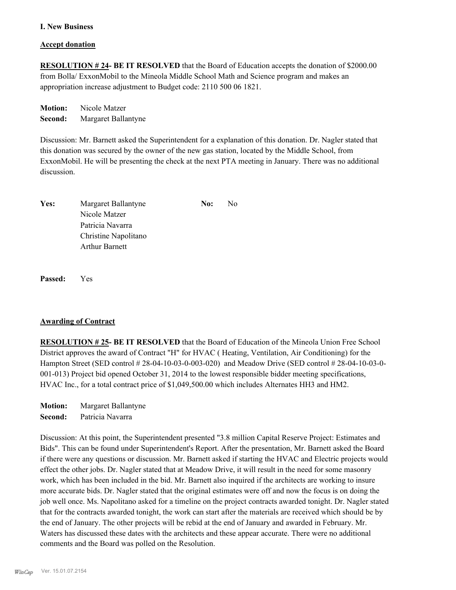#### **I. New Business**

#### **Accept donation**

**RESOLUTION # 24- BE IT RESOLVED** that the Board of Education accepts the donation of \$2000.00 from Bolla/ ExxonMobil to the Mineola Middle School Math and Science program and makes an appropriation increase adjustment to Budget code: 2110 500 06 1821.

**Motion:** Nicole Matzer **Second:** Margaret Ballantyne

Discussion: Mr. Barnett asked the Superintendent for a explanation of this donation. Dr. Nagler stated that this donation was secured by the owner of the new gas station, located by the Middle School, from ExxonMobil. He will be presenting the check at the next PTA meeting in January. There was no additional discussion.

| Yes: | Margaret Ballantyne   | No: | No. |
|------|-----------------------|-----|-----|
|      | Nicole Matzer         |     |     |
|      | Patricia Navarra      |     |     |
|      | Christine Napolitano  |     |     |
|      | <b>Arthur Barnett</b> |     |     |

**Passed:** Yes

# **Awarding of Contract**

**RESOLUTION # 25- BE IT RESOLVED** that the Board of Education of the Mineola Union Free School District approves the award of Contract "H" for HVAC ( Heating, Ventilation, Air Conditioning) for the Hampton Street (SED control # 28-04-10-03-0-003-020) and Meadow Drive (SED control # 28-04-10-03-0- 001-013) Project bid opened October 31, 2014 to the lowest responsible bidder meeting specifications, HVAC Inc., for a total contract price of \$1,049,500.00 which includes Alternates HH3 and HM2.

**Motion:** Margaret Ballantyne **Second:** Patricia Navarra

Discussion: At this point, the Superintendent presented "3.8 million Capital Reserve Project: Estimates and Bids". This can be found under Superintendent's Report. After the presentation, Mr. Barnett asked the Board if there were any questions or discussion. Mr. Barnett asked if starting the HVAC and Electric projects would effect the other jobs. Dr. Nagler stated that at Meadow Drive, it will result in the need for some masonry work, which has been included in the bid. Mr. Barnett also inquired if the architects are working to insure more accurate bids. Dr. Nagler stated that the original estimates were off and now the focus is on doing the job well once. Ms. Napolitano asked for a timeline on the project contracts awarded tonight. Dr. Nagler stated that for the contracts awarded tonight, the work can start after the materials are received which should be by the end of January. The other projects will be rebid at the end of January and awarded in February. Mr. Waters has discussed these dates with the architects and these appear accurate. There were no additional comments and the Board was polled on the Resolution.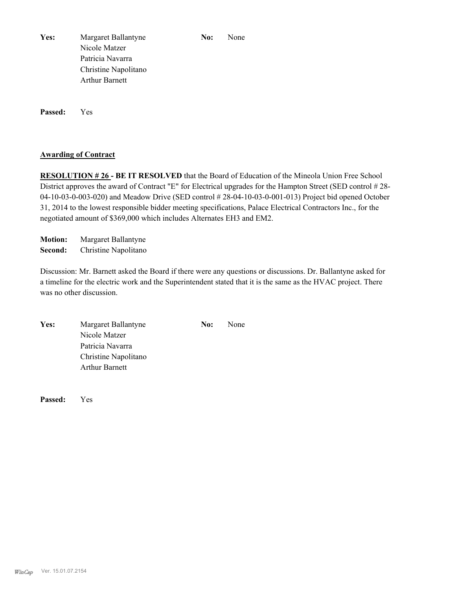Yes: Margaret Ballantyne **No:** None Nicole Matzer Patricia Navarra Christine Napolitano Arthur Barnett

**Passed:** Yes

# **Awarding of Contract**

**RESOLUTION # 26 - BE IT RESOLVED** that the Board of Education of the Mineola Union Free School District approves the award of Contract "E" for Electrical upgrades for the Hampton Street (SED control # 28- 04-10-03-0-003-020) and Meadow Drive (SED control # 28-04-10-03-0-001-013) Project bid opened October 31, 2014 to the lowest responsible bidder meeting specifications, Palace Electrical Contractors Inc., for the negotiated amount of \$369,000 which includes Alternates EH3 and EM2.

**Motion:** Margaret Ballantyne **Second:** Christine Napolitano

Discussion: Mr. Barnett asked the Board if there were any questions or discussions. Dr. Ballantyne asked for a timeline for the electric work and the Superintendent stated that it is the same as the HVAC project. There was no other discussion.

Yes: Margaret Ballantyne **No:** None Nicole Matzer Patricia Navarra Christine Napolitano Arthur Barnett

**Passed:** Yes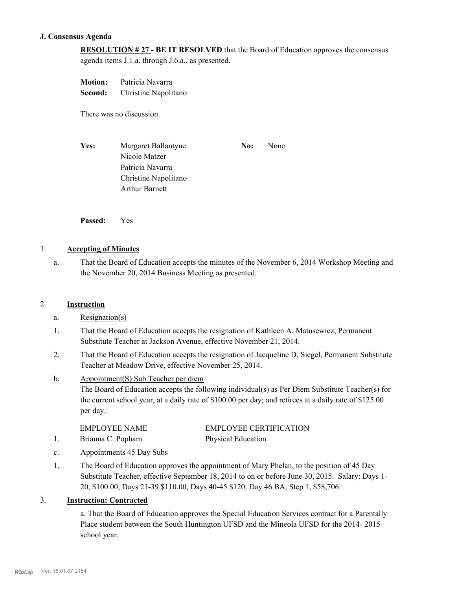# **J. Consensus Agenda**

**RESOLUTION # 27 - BE IT RESOLVED** that the Board of Education approves the consensus agenda items J.1.a. through J.6.a., as presented.

**Motion:** Patricia Navarra **Second:** Christine Napolitano

There was no discussion.

Yes: Margaret Ballantyne **No:** None Nicole Matzer Patricia Navarra Christine Napolitano Arthur Barnett

**Passed:** Yes

# 1. **Accepting of Minutes**

That the Board of Education accepts the minutes of the November 6, 2014 Workshop Meeting and the November 20, 2014 Business Meeting as presented. a.

# 2. **Instruction**

- a. Resignation(s)
- That the Board of Education accepts the resignation of Kathleen A. Matusewicz, Permanent Substitute Teacher at Jackson Avenue, effective November 21, 2014. 1.
- That the Board of Education accepts the resignation of Jacqueline D. Siegel, Permanent Substitute Teacher at Meadow Drive, effective November 25, 2014. 2.
- Appointment(S) Sub Teacher per diem The Board of Education accepts the following individual(s) as Per Diem Substitute Teacher(s) for the current school year, at a daily rate of \$100.00 per day; and retirees at a daily rate of \$125.00 per day.: b.

| <b>EMPLOYEE NAME</b> | <b>EMPLOYEE CERTIFICATION</b> |
|----------------------|-------------------------------|
| Brianna C. Popham    | <b>Physical Education</b>     |

- c. Appointments 45 Day Subs
- The Board of Education approves the appointment of Mary Phelan, to the position of 45 Day Substitute Teacher, effective September 18, 2014 to on or before June 30, 2015. Salary: Days 1- 20, \$100.00, Days 21-39 \$110.00, Days 40-45 \$120, Day 46 BA, Step 1, \$58,706. 1.

# 3. **Instruction: Contracted**

a. That the Board of Education approves the Special Education Services contract for a Parentally Place student between the South Huntington UFSD and the Mineola UFSD for the 2014- 2015 school year.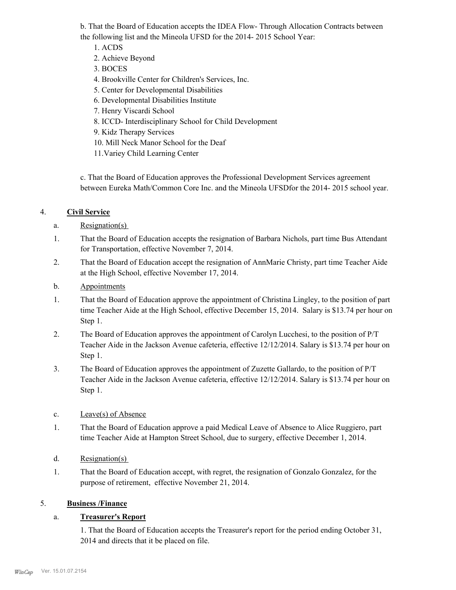b. That the Board of Education accepts the IDEA Flow- Through Allocation Contracts between the following list and the Mineola UFSD for the 2014- 2015 School Year:

- 1. ACDS
- 2. Achieve Beyond
- 3. BOCES
- 4. Brookville Center for Children's Services, Inc.
- 5. Center for Developmental Disabilities
- 6. Developmental Disabilities Institute
- 7. Henry Viscardi School
- 8. ICCD- Interdisciplinary School for Child Development
- 9. Kidz Therapy Services
- 10. Mill Neck Manor School for the Deaf
- 11.Variey Child Learning Center

c. That the Board of Education approves the Professional Development Services agreement between Eureka Math/Common Core Inc. and the Mineola UFSDfor the 2014- 2015 school year.

# 4. **Civil Service**

- a. Resignation(s)
- That the Board of Education accepts the resignation of Barbara Nichols, part time Bus Attendant for Transportation, effective November 7, 2014. 1.
- That the Board of Education accept the resignation of AnnMarie Christy, part time Teacher Aide at the High School, effective November 17, 2014. 2.
- b. Appointments
- That the Board of Education approve the appointment of Christina Lingley, to the position of part time Teacher Aide at the High School, effective December 15, 2014. Salary is \$13.74 per hour on Step 1. 1.
- The Board of Education approves the appointment of Carolyn Lucchesi, to the position of P/T Teacher Aide in the Jackson Avenue cafeteria, effective 12/12/2014. Salary is \$13.74 per hour on Step 1. 2.
- The Board of Education approves the appointment of Zuzette Gallardo, to the position of P/T Teacher Aide in the Jackson Avenue cafeteria, effective 12/12/2014. Salary is \$13.74 per hour on Step 1. 3.
- c. Leave(s) of Absence
- That the Board of Education approve a paid Medical Leave of Absence to Alice Ruggiero, part time Teacher Aide at Hampton Street School, due to surgery, effective December 1, 2014. 1.
- d. Resignation(s)
- That the Board of Education accept, with regret, the resignation of Gonzalo Gonzalez, for the purpose of retirement, effective November 21, 2014. 1.

# 5. **Business /Finance**

# a. **Treasurer's Report**

1. That the Board of Education accepts the Treasurer's report for the period ending October 31, 2014 and directs that it be placed on file.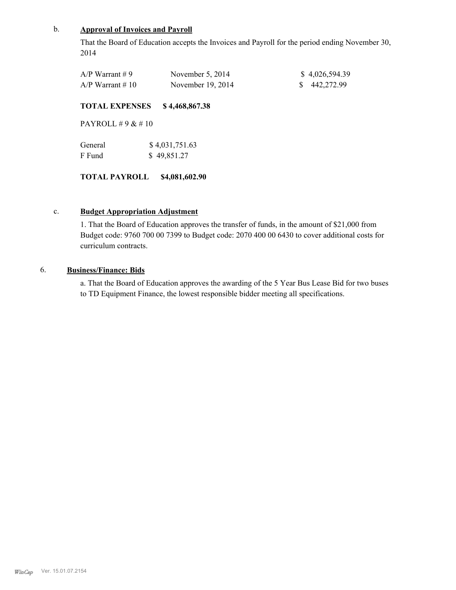# b. **Approval of Invoices and Payroll**

That the Board of Education accepts the Invoices and Payroll for the period ending November 30, 2014

| $A/P$ Warrant #9   | November $5, 2014$  | \$4,026,594.39 |
|--------------------|---------------------|----------------|
| $A/P$ Warrant # 10 | November $19, 2014$ | \$442,272.99   |

#### **TOTAL EXPENSES \$ 4,468,867.38**

PAYROLL # 9 & # 10

| General | \$4,031,751.63 |
|---------|----------------|
| F Fund  | \$49,851.27    |

**TOTAL PAYROLL \$4,081,602.90**

#### c. **Budget Appropriation Adjustment**

1. That the Board of Education approves the transfer of funds, in the amount of \$21,000 from Budget code: 9760 700 00 7399 to Budget code: 2070 400 00 6430 to cover additional costs for curriculum contracts.

# 6. **Business/Finance: Bids**

a. That the Board of Education approves the awarding of the 5 Year Bus Lease Bid for two buses to TD Equipment Finance, the lowest responsible bidder meeting all specifications.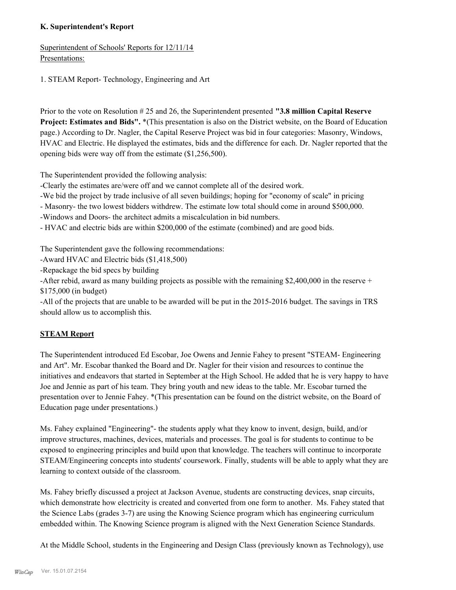# **K. Superintendent's Report**

Superintendent of Schools' Reports for 12/11/14 Presentations:

1. STEAM Report- Technology, Engineering and Art

Prior to the vote on Resolution # 25 and 26, the Superintendent presented **"3.8 million Capital Reserve Project: Estimates and Bids".** \*(This presentation is also on the District website, on the Board of Education page.) According to Dr. Nagler, the Capital Reserve Project was bid in four categories: Masonry, Windows, HVAC and Electric. He displayed the estimates, bids and the difference for each. Dr. Nagler reported that the opening bids were way off from the estimate (\$1,256,500).

The Superintendent provided the following analysis:

-Clearly the estimates are/were off and we cannot complete all of the desired work.

-We bid the project by trade inclusive of all seven buildings; hoping for "economy of scale" in pricing

- Masonry- the two lowest bidders withdrew. The estimate low total should come in around \$500,000.

-Windows and Doors- the architect admits a miscalculation in bid numbers.

- HVAC and electric bids are within \$200,000 of the estimate (combined) and are good bids.

The Superintendent gave the following recommendations:

-Award HVAC and Electric bids (\$1,418,500)

-Repackage the bid specs by building

-After rebid, award as many building projects as possible with the remaining \$2,400,000 in the reserve + \$175,000 (in budget)

-All of the projects that are unable to be awarded will be put in the 2015-2016 budget. The savings in TRS should allow us to accomplish this.

# **STEAM Report**

The Superintendent introduced Ed Escobar, Joe Owens and Jennie Fahey to present "STEAM- Engineering and Art". Mr. Escobar thanked the Board and Dr. Nagler for their vision and resources to continue the initiatives and endeavors that started in September at the High School. He added that he is very happy to have Joe and Jennie as part of his team. They bring youth and new ideas to the table. Mr. Escobar turned the presentation over to Jennie Fahey. \*(This presentation can be found on the district website, on the Board of Education page under presentations.)

Ms. Fahey explained "Engineering"- the students apply what they know to invent, design, build, and/or improve structures, machines, devices, materials and processes. The goal is for students to continue to be exposed to engineering principles and build upon that knowledge. The teachers will continue to incorporate STEAM/Engineering concepts into students' coursework. Finally, students will be able to apply what they are learning to context outside of the classroom.

Ms. Fahey briefly discussed a project at Jackson Avenue, students are constructing devices, snap circuits, which demonstrate how electricity is created and converted from one form to another. Ms. Fahey stated that the Science Labs (grades 3-7) are using the Knowing Science program which has engineering curriculum embedded within. The Knowing Science program is aligned with the Next Generation Science Standards.

At the Middle School, students in the Engineering and Design Class (previously known as Technology), use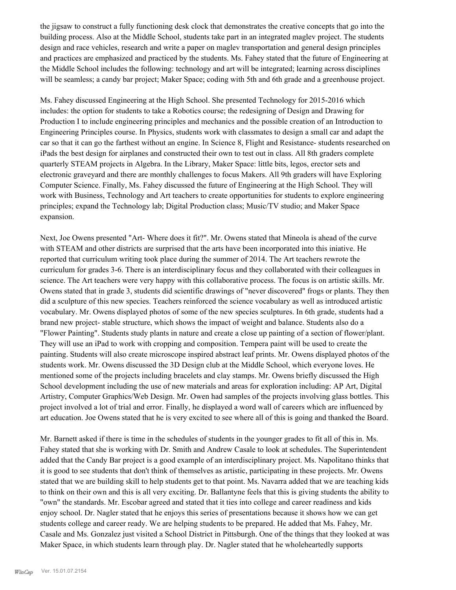the jigsaw to construct a fully functioning desk clock that demonstrates the creative concepts that go into the building process. Also at the Middle School, students take part in an integrated maglev project. The students design and race vehicles, research and write a paper on maglev transportation and general design principles and practices are emphasized and practiced by the students. Ms. Fahey stated that the future of Engineering at the Middle School includes the following: technology and art will be integrated; learning across disciplines will be seamless; a candy bar project; Maker Space; coding with 5th and 6th grade and a greenhouse project.

Ms. Fahey discussed Engineering at the High School. She presented Technology for 2015-2016 which includes: the option for students to take a Robotics course; the redesigning of Design and Drawing for Production I to include engineering principles and mechanics and the possible creation of an Introduction to Engineering Principles course. In Physics, students work with classmates to design a small car and adapt the car so that it can go the farthest without an engine. In Science 8, Flight and Resistance- students researched on iPads the best design for airplanes and constructed their own to test out in class. All 8th graders complete quarterly STEAM projects in Algebra. In the Library, Maker Space: little bits, legos, erector sets and electronic graveyard and there are monthly challenges to focus Makers. All 9th graders will have Exploring Computer Science. Finally, Ms. Fahey discussed the future of Engineering at the High School. They will work with Business, Technology and Art teachers to create opportunities for students to explore engineering principles; expand the Technology lab; Digital Production class; Music/TV studio; and Maker Space expansion.

Next, Joe Owens presented "Art- Where does it fit?". Mr. Owens stated that Mineola is ahead of the curve with STEAM and other districts are surprised that the arts have been incorporated into this iniative. He reported that curriculum writing took place during the summer of 2014. The Art teachers rewrote the curriculum for grades 3-6. There is an interdisciplinary focus and they collaborated with their colleagues in science. The Art teachers were very happy with this collaborative process. The focus is on artistic skills. Mr. Owens stated that in grade 3, students did scientific drawings of "never discovered" frogs or plants. They then did a sculpture of this new species. Teachers reinforced the science vocabulary as well as introduced artistic vocabulary. Mr. Owens displayed photos of some of the new species sculptures. In 6th grade, students had a brand new project- stable structure, which shows the impact of weight and balance. Students also do a "Flower Painting". Students study plants in nature and create a close up painting of a section of flower/plant. They will use an iPad to work with cropping and composition. Tempera paint will be used to create the painting. Students will also create microscope inspired abstract leaf prints. Mr. Owens displayed photos of the students work. Mr. Owens discussed the 3D Design club at the Middle School, which everyone loves. He mentioned some of the projects including bracelets and clay stamps. Mr. Owens briefly discussed the High School development including the use of new materials and areas for exploration including: AP Art, Digital Artistry, Computer Graphics/Web Design. Mr. Owen had samples of the projects involving glass bottles. This project involved a lot of trial and error. Finally, he displayed a word wall of careers which are influenced by art education. Joe Owens stated that he is very excited to see where all of this is going and thanked the Board.

Mr. Barnett asked if there is time in the schedules of students in the younger grades to fit all of this in. Ms. Fahey stated that she is working with Dr. Smith and Andrew Casale to look at schedules. The Superintendent added that the Candy Bar project is a good example of an interdisciplinary project. Ms. Napolitano thinks that it is good to see students that don't think of themselves as artistic, participating in these projects. Mr. Owens stated that we are building skill to help students get to that point. Ms. Navarra added that we are teaching kids to think on their own and this is all very exciting. Dr. Ballantyne feels that this is giving students the ability to "own" the standards. Mr. Escobar agreed and stated that it ties into college and career readiness and kids enjoy school. Dr. Nagler stated that he enjoys this series of presentations because it shows how we can get students college and career ready. We are helping students to be prepared. He added that Ms. Fahey, Mr. Casale and Ms. Gonzalez just visited a School District in Pittsburgh. One of the things that they looked at was Maker Space, in which students learn through play. Dr. Nagler stated that he wholeheartedly supports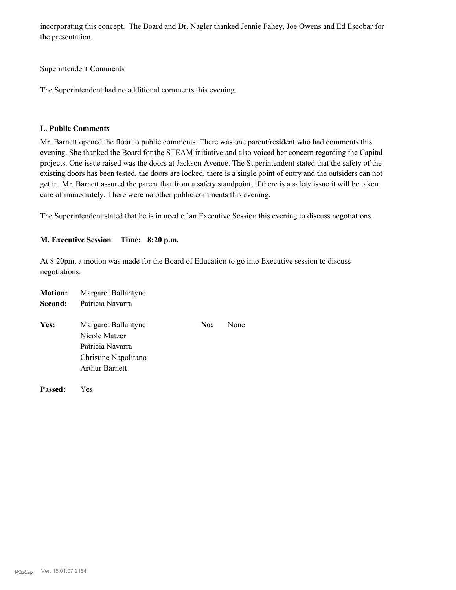incorporating this concept. The Board and Dr. Nagler thanked Jennie Fahey, Joe Owens and Ed Escobar for the presentation.

#### Superintendent Comments

The Superintendent had no additional comments this evening.

#### **L. Public Comments**

Mr. Barnett opened the floor to public comments. There was one parent/resident who had comments this evening. She thanked the Board for the STEAM initiative and also voiced her concern regarding the Capital projects. One issue raised was the doors at Jackson Avenue. The Superintendent stated that the safety of the existing doors has been tested, the doors are locked, there is a single point of entry and the outsiders can not get in. Mr. Barnett assured the parent that from a safety standpoint, if there is a safety issue it will be taken care of immediately. There were no other public comments this evening.

The Superintendent stated that he is in need of an Executive Session this evening to discuss negotiations.

#### **M. Executive Session Time: 8:20 p.m.**

At 8:20pm, a motion was made for the Board of Education to go into Executive session to discuss negotiations.

| <b>Motion:</b> | Margaret Ballantyne                                                                                       |     |      |
|----------------|-----------------------------------------------------------------------------------------------------------|-----|------|
| Second:        | Patricia Navarra                                                                                          |     |      |
| Yes:           | Margaret Ballantyne<br>Nicole Matzer<br>Patricia Navarra<br>Christine Napolitano<br><b>Arthur Barnett</b> | No: | None |
|                |                                                                                                           |     |      |

*WinCap* Ver. 15.01.07.2154

**Passed:** Yes